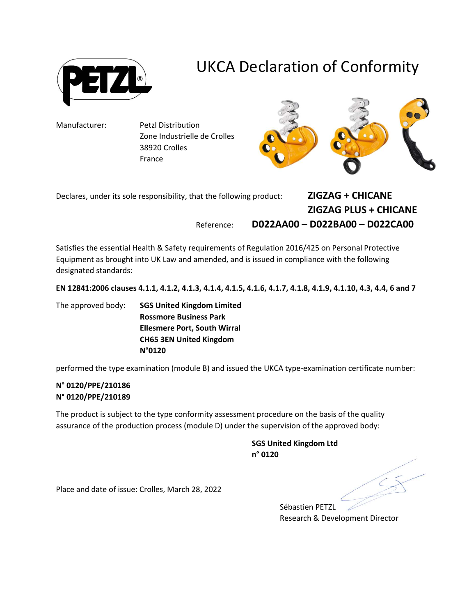

## UKCA Declaration of Conformity

Manufacturer: Petzl Distribution Zone Industrielle de Crolles 38920 Crolles France



Declares, under its sole responsibility, that the following product:  $ZIGZAG + CHICANE$ ZIGZAG PLUS + CHICANE Reference: D022AA00 – D022BA00 – D022CA00

Satisfies the essential Health & Safety requirements of Regulation 2016/425 on Personal Protective Equipment as brought into UK Law and amended, and is issued in compliance with the following designated standards:

EN 12841:2006 clauses 4.1.1, 4.1.2, 4.1.3, 4.1.4, 4.1.5, 4.1.6, 4.1.7, 4.1.8, 4.1.9, 4.1.10, 4.3, 4.4, 6 and 7

The approved body: SGS United Kingdom Limited Rossmore Business Park Ellesmere Port, South Wirral CH65 3EN United Kingdom N°0120

performed the type examination (module B) and issued the UKCA type-examination certificate number:

## N° 0120/PPE/210186 N° 0120/PPE/210189

The product is subject to the type conformity assessment procedure on the basis of the quality assurance of the production process (module D) under the supervision of the approved body:

> SGS United Kingdom Ltd n° 0120

Place and date of issue: Crolles, March 28, 2022

Sébastien PETZL Research & Development Director